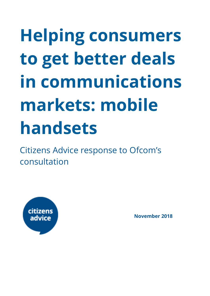# **Helping consumers to get better deals in communications markets: mobile handsets**

Citizens Advice response to Ofcom's consultation



**November 2018**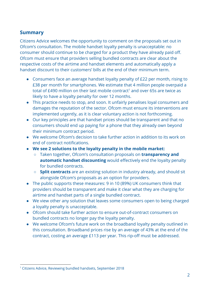#### **Summary**

Citizens Advice welcomes the opportunity to comment on the proposals set out in Ofcom's consultation. The mobile handset loyalty penalty is unacceptable: no consumer should continue to be charged for a product they have already paid off. Ofcom must ensure that providers selling bundled contracts are clear about the respective costs of the airtime and handset elements and automatically apply a handset discount to their customers' bills at the end of their minimum term.

- Consumers face an average handset loyalty penalty of £22 per month, rising to £38 per month for smartphones. We estimate that 4 million people overpaid a total of £490 million on their last mobile contract<sup>1</sup> and over 65s are twice as likely to have a loyalty penalty for over 12 months.
- This practice needs to stop, and soon. It unfairly penalises loyal consumers and damages the reputation of the sector. Ofcom must ensure its interventions are implemented urgently, as it is clear voluntary action is not forthcoming.
- Our key principles are that handset prices should be transparent and that no consumers should end up paying for a phone that they already own beyond their minimum contract period.
- We welcome Ofcom's decision to take further action in addition to its work on end of contract notifications.
- **● We see 2 solutions to the loyalty penalty in the mobile market:**
	- Taken together, Ofcom's consultation proposals on **transparency and automatic handset discounting** would effectively end the loyalty penalty for bundled contracts.
	- **Split contracts** are an existing solution in industry already, and should sit alongside Ofcom's proposals as an option for providers.
- The public supports these measures: 9 in 10 (89%) UK consumers think that providers should be transparent and make it clear what they are charging for airtime and handset parts of a single bundled contract.
- We view other any solution that leaves some consumers open to being charged a loyalty penalty is unacceptable.
- Ofcom should take further action to ensure out-of-contract consumers on bundled contracts no longer pay the loyalty penalty.
- We welcome Ofcom's future work on the broadband loyalty penalty outlined in this consultation. Broadband prices rise by an average of 43% at the end of the contract, costing an average £113 per year. This rip-off must be addressed.

<sup>1</sup> Citizens Advice, Reviewing bundled handsets, September 2018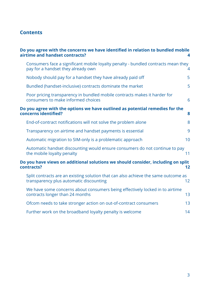#### **Contents**

|                                                                                                           | Do you agree with the concerns we have identified in relation to bundled mobile<br>airtime and handset contracts?             |    |  |
|-----------------------------------------------------------------------------------------------------------|-------------------------------------------------------------------------------------------------------------------------------|----|--|
|                                                                                                           | Consumers face a significant mobile loyalty penalty - bundled contracts mean they<br>pay for a handset they already own       | 4  |  |
|                                                                                                           | Nobody should pay for a handset they have already paid off                                                                    | 5  |  |
|                                                                                                           | Bundled (handset-inclusive) contracts dominate the market                                                                     | 5  |  |
|                                                                                                           | Poor pricing transparency in bundled mobile contracts makes it harder for<br>consumers to make informed choices               | 6  |  |
| Do you agree with the options we have outlined as potential remedies for the<br>concerns identified?<br>8 |                                                                                                                               |    |  |
|                                                                                                           | End-of-contract notifications will not solve the problem alone                                                                | 8  |  |
|                                                                                                           | Transparency on airtime and handset payments is essential                                                                     | 9  |  |
|                                                                                                           | Automatic migration to SIM-only is a problematic approach                                                                     | 10 |  |
|                                                                                                           | Automatic handset discounting would ensure consumers do not continue to pay<br>the mobile loyalty penalty                     | 11 |  |
|                                                                                                           | Do you have views on additional solutions we should consider, including on split<br>contracts?<br>12                          |    |  |
|                                                                                                           | Split contracts are an existing solution that can also achieve the same outcome as<br>transparency plus automatic discounting | 12 |  |
|                                                                                                           | We have some concerns about consumers being effectively locked in to airtime<br>contracts longer than 24 months               | 13 |  |
|                                                                                                           | Ofcom needs to take stronger action on out-of-contract consumers                                                              | 13 |  |
|                                                                                                           | Further work on the broadband loyalty penalty is welcome                                                                      | 14 |  |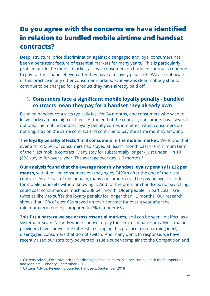# <span id="page-3-0"></span>**Do you agree with the concerns we have identified in relation to bundled mobile airtime and handset contracts?**

Deep, structural price discrimination against disengaged and loyal consumers has been a persistent feature of essential markets for many years.<sup>2</sup> This is particularly problematic in the mobile market, as loyal consumers on bundled contracts continue to pay for their handset even after they have effectively paid it off. We are not aware of this practice in any other consumer markets. Our view is clear: nobody should continue to be charged for a product they have already paid off.

#### <span id="page-3-1"></span>**1. Consumers face a significant mobile loyalty penalty - bundled contracts mean they pay for a handset they already own**

Bundled handset contracts typically last for 24 months, and consumers who wish to leave early can face high exit fees. At the end of the contract, consumers have several options. The mobile handset loyalty penalty comes into effect when consumers do nothing, stay on the same contract and continue to pay the same monthly amount.

**The loyalty penalty affects 1 in 3 consumers in the mobile market.** We found that over a third (35%) of consumers had stayed at least 1 month past the minimum term of their last mobile contract. Many stay for substantially longer - just under 1 in 10 (8%) stayed for over a year. The average overstay is 6 months. $3$ 

**Our analysis found that the average monthly handset loyalty penalty is £22 per month**, with 4 million consumers overpaying by £490m after the end of their last contract. As a result of this penalty, many consumers could be paying over the odds for mobile handsets without knowing it. And for the premium handsets, not switching could cost consumers as much as £38 per month. Older people, in particular, are twice as likely to suffer the loyalty penalty for longer than 12 months. Our research shows that 13% of over 65s stayed on their contract for over a year after the minimum term ended, compared to 7% of under 65s.

**This fits a pattern we see across essential markets**, and can be seen, in effect, as a systematic scam. Nobody would choose to pay these extortionate sums. Most major providers have shown little interest in stopping this practice from harming inert, disengaged consumers that do not switch.  And many don't. In response, we have recently used our statutory powers to issue a super-complaint to the Competition and

<sup>&</sup>lt;sup>2</sup> Citizens Advice, Excessive prices for disengaged consumers: A super-complaint to the Competition and Markets Authority, September 2018

<sup>3</sup> Citizens Advice, Reviewing bundled handsets, September 2018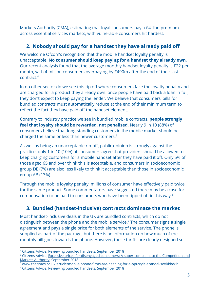Markets Authority (CMA), estimating that loyal consumers pay a £4.1bn premium across essential services markets, with vulnerable consumers hit hardest.

#### <span id="page-4-0"></span>**2. Nobody should pay for a handset they have already paid off**

We welcome Ofcom's recognition that the mobile handset loyalty penalty is unacceptable. **No consumer should keep paying for a handset they already own**. Our recent analysis found that the average monthly handset loyalty penalty is £22 per month, with 4 million consumers overpaying by £490m after the end of their last contract.<sup>4</sup>

In no other sector do we see this rip off where consumers face the loyalty penalty and are charged for a product they already own: once people have paid back a loan in full, they don't expect to keep paying the lender. We believe that consumers' bills for bundled contracts must automatically reduce at the end of their minimum term to reflect the fact they have paid off the handset element.

Contrary to industry practice we see in bundled mobile contracts, **people strongly feel that loyalty should be rewarded, not penalised**. Nearly 9 in 10 (88%) of consumers believe that long-standing customers in the mobile market should be charged the same or less than newer customers.<sup>5</sup>

As well as being an unacceptable rip-off, public opinion is strongly against the practice: only 1 in 10 (10%) of consumers agree that providers should be allowed to keep charging customers for a mobile handset after they have paid it off. Only 5% of those aged 65 and over think this is acceptable, and consumers in socioeconomic group DE (7%) are also less likely to think it acceptable than those in socioeconomic group AB (13%).

Through the mobile loyalty penalty, millions of consumer have effectively paid twice for the same product. Some commentators have suggested there may be a case for compensation to be paid to consumers who have been ripped off in this way.<sup>6</sup>

#### <span id="page-4-1"></span>**3. Bundled (handset-inclusive) contracts dominate the market**

Most handset-inclusive deals in the UK are bundled contracts, which do not distinguish between the phone and the mobile service.<sup>7</sup> The consumer signs a single agreement and pays a single price for both elements of the service. The phone is supplied as part of the package, but there is no information on how much of the monthly bill goes towards the phone. However, these tariffs are clearly designed so

<sup>4</sup> Citizens Advice, Reviewing bundled handsets, September 2018

<sup>5</sup> Citizens Advice, Excessive prices for disengaged consumers: A [super-complaint](https://www.citizensadvice.org.uk/about-us/policy/policy-research-topics/consumer-policy-research/consumer-policy-research/excessive-prices-for-disengaged-consumers-a-super-complaint-to-the-competition-and-markets-authority/) to the Competition and Markets [Authority](https://www.citizensadvice.org.uk/about-us/policy/policy-research-topics/consumer-policy-research/consumer-policy-research/excessive-prices-for-disengaged-consumers-a-super-complaint-to-the-competition-and-markets-authority/), September 2018

<sup>6</sup> www.thetimes.co.uk/article/mobile-phone-firms-are-heading-for-a-ppi-style-scandal-swrkkhd8h

<sup>7</sup> Citizens Advice, Reviewing bundled handsets, September 2018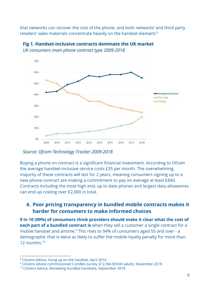that networks can recover the cost of the phone, and both networks' and third party retailers' sales materials concentrate heavily on the handset element.<sup>8</sup>



Fig 1. Handset-inclusive contracts dominate the UK market UK consumers main phone contract type 2009-2018

Source: Ofcom Technology Tracker 2009-2018

Buying a phone on contract is a significant financial investment. According to Ofcom the average handset-inclusive service costs £35 per month. The overwhelming majority of these contracts will last for 2 years, meaning consumers signing up to a new phone contract are making a commitment to pay on average at least £840. Contracts including the most high end, up to date phones and largest data allowances can end up costing over £2,000 in total.

#### <span id="page-5-0"></span>**4. Poor pricing transparency in bundled mobile contracts makes it harder for consumers to make informed choices**

**9 in 10 (90%) of consumers think providers should make it clear what the cost of each part of a bundled contract is** when they sell a customer a single contract for a mobile handset and airtime.<sup>9</sup> This rises to 94% of consumers aged 55 and over - a demographic that is twice as likely to suffer the mobile loyalty penalty for more than 12 months.<sup>10</sup>

<sup>8</sup> Citizens Advice, Hung up on the handset, April 2016

<sup>9</sup> Citizens Advice commissioned ComRes survey of 2,366 British adults, November 2018

<sup>10</sup> Citizens Advice, Reviewing bundled handsets, September 2018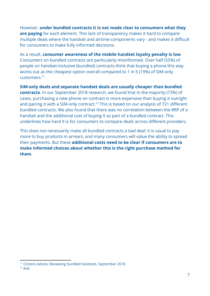However, **under bundled contracts it is not made clear to consumers what they are paying** for each element. This lack of transparency makes it hard to compare multiple deals where the handset and airtime components vary - and makes it difficult for consumers to make fully informed decisions.

As a result, **consumer awareness of the mobile handset loyalty penalty is low**. Consumers on bundled contracts are particularly misinformed. Over half (55%) of people on handset-inclusive (bundled) contracts think that buying a phone this way works out as the cheapest option overall compared to 1 in 5 (19%) of SIM-only customers.<sup>11</sup>

**SIM-only deals and separate handset deals are usually cheaper than bundled contracts**. In our September 2018 research, we found that in the majority (73%) of cases, purchasing a new phone on contract is more expensive than buying it outright and pairing it with a SIM-only contract.<sup>12</sup> This is based on our analysis of 721 different bundled contracts. We also found that there was no correlation between the RRP of a handset and the additional cost of buying it as part of a bundled contract. This underlines how hard it is for consumers to compare deals across different providers.

This does not necessarily make all bundled contracts a bad deal: it is usual to pay more to buy products in arrears, and many consumers will value the ability to spread their payments. But these **additional costs need to be clear if consumers are to make informed choices about whether this is the right purchase method for them**.

<sup>11</sup> Citizens Advice, Reviewing bundled handsets, September 2018

<sup>12</sup> ibid.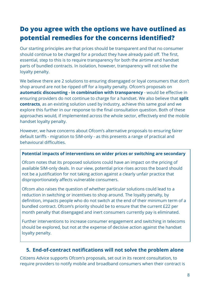# <span id="page-7-0"></span>**Do you agree with the options we have outlined as potential remedies for the concerns identified?**

Our starting principles are that prices should be transparent and that no consumer should continue to be charged for a product they have already paid off. The first, essential, step to this is to require transparency for both the airtime and handset parts of bundled contracts. In isolation, however, transparency will not solve the loyalty penalty.

We believe there are 2 solutions to ensuring disengaged or loyal consumers that don't shop around are not be ripped off for a loyalty penalty. Ofcom's proposals on **automatic discounting - in combination with transparency** - would be effective in ensuring providers do not continue to charge for a handset. We also believe that **split contracts**, as an existing solution used by industry, achieve this same goal and we explore this further in our response to the final consultation question. Both of these approaches would, if implemented across the whole sector, effectively end the mobile handset loyalty penalty.

However, we have concerns about Ofcom's alternative proposals to ensuring fairer default tariffs - migration to SIM-only - as this presents a range of practical and behavioural difficulties.

#### **Potential impacts of interventions on wider prices or switching are secondary**

Ofcom notes that its proposed solutions could have an impact on the pricing of available SIM-only deals. In our view, potential price rises across the board should not be a justification for not taking action against a clearly unfair practice that disproportionately affects vulnerable consumers.

Ofcom also raises the question of whether particular solutions could lead to a reduction in switching or incentives to shop around. The loyalty penalty, by definition, impacts people who do not switch at the end of their minimum term of a bundled contract. Ofcom's priority should be to ensure that the current £22 per month penalty that disengaged and inert consumers currently pay is eliminated.

Further interventions to increase consumer engagement and switching in telecoms should be explored, but not at the expense of decisive action against the handset loyalty penalty.

#### <span id="page-7-1"></span>**5. End-of-contract notifications will not solve the problem alone**

Citizens Advice supports Ofcom's proposals, set out in its recent consultation, to require providers to notify mobile and broadband consumers when their contract is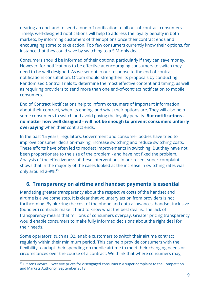nearing an end, and to send a one-off notification to all out-of-contract consumers. Timely, well-designed notifications will help to address the loyalty penalty in both markets, by informing customers of their options once their contract ends and encouraging some to take action. Too few consumers currently know their options, for instance that they could save by switching to a SIM-only deal.

Consumers should be informed of their options, particularly if they can save money. However, for notifications to be effective at encouraging consumers to switch they need to be well designed. As we set out in our response to the end-of-contract notifications consultation, Ofcom should strengthen its proposals by conducting Randomised Control Trials to determine the most effective content and timing, as well as requiring providers to send more than one end-of-contract notification to mobile consumers.

End of Contract Notifications help to inform consumers of important information about their contract, when its ending, and what their options are. They will also help some consumers to switch and avoid paying the loyalty penalty. **But notifications no matter how well designed - will not be enough to prevent consumers unfairly overpaying** when their contract ends.

In the past 15 years, regulators, Government and consumer bodies have tried to improve consumer decision-making, increase switching and reduce switching costs. These efforts have often led to modest improvements in switching. But they have not been proportionate to the size of the problem - and have not fixed the problem. Analysis of the effectiveness of these interventions in our recent super-complaint shows that in the majority of the cases looked at the increase in switching rates was only around 2-9%.<sup>13</sup>

#### <span id="page-8-0"></span>**6. Transparency on airtime and handset payments is essential**

Mandating greater transparency about the respective costs of the handset and airtime is a welcome step. It is clear that voluntary action from providers is not forthcoming. By blurring the cost of the phone and data allowances, handset-inclusive (bundled) contracts make it hard to know what the best deal is. The lack of transparency means that millions of consumers overpay. Greater pricing transparency would enable consumers to make fully informed decisions about the right deal for their needs.

Some operators, such as O2, enable customers to switch their airtime contract regularly within their minimum period. This can help provide consumers with the flexibility to adapt their spending on mobile airtime to meet their changing needs or circumstances over the course of a contract. We think that where consumers may,

<sup>&</sup>lt;sup>13</sup> Citizens Advice, Excessive prices for disengaged consumers: A super-complaint to the Competition and Markets Authority, September 2018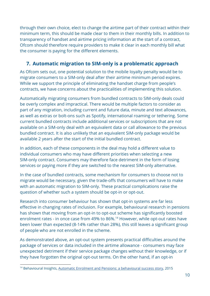through their own choice, elect to change the airtime part of their contract within their minimum term, this should be made clear to them in their monthly bills. In addition to transparency of handset and airtime pricing information at the start of a contract, Ofcom should therefore require providers to make it clear in each monthly bill what the consumer is paying for the different elements.

#### <span id="page-9-0"></span>**7. Automatic migration to SIM-only is a problematic approach**

As Ofcom sets out, one potential solution to the mobile loyalty penalty would be to migrate consumers to a SIM-only deal after their airtime minimum period expires. While we support the principle of eliminating the handset charge from people's contracts, we have concerns about the practicalities of implementing this solution.

Automatically migrating consumers from bundled contracts to SIM-only deals could be overly complex and impractical. There would be multiple factors to consider as part of any migration, including current and future data, minute and text allowances, as well as extras or bolt-ons such as Spotify, international roaming or tethering. Some current bundled contracts include additional services or subscriptions that are not available on a SIM-only deal with an equivalent data or call allowance to the previous bundled contract. It is also unlikely that an equivalent SIM-only package would be available 2 years after the start of the initial bundled contract.

In addition, each of these components in the deal may hold a different value to individual consumers who may have different priorities when selecting a new SIM-only contract. Consumers may therefore face detriment in the form of losing services or paying more if they are switched to the nearest SIM-only alternative.

In the case of bundled contracts, some mechanism for consumers to choose not to migrate would be necessary, given the trade-offs that consumers will have to make with an automatic migration to SIM-only. These practical complications raise the question of whether such a system should be opt-in or opt-out.

Research into consumer behaviour has shown that opt-in systems are far less effective in changing rates of inclusion. For example, behavioural research in pensions has shown that moving from an opt-in to opt-out scheme has significantly boosted enrolment rates - in once case from 49% to 86%.<sup>14</sup> However, while opt-out rates have been lower than expected (8-14% rather than 28%), this still leaves a significant group of people who are not enrolled in the scheme.

As demonstrated above, an opt-out system presents practical difficulties around the package of services or data included in the airtime allowance - consumers may face unexpected detriment if their service package changes without their knowledge, or if they have forgotten the original opt-out terms. On the other hand, if an opt-in

<sup>&</sup>lt;sup>14</sup> Behavioural Insights, Automatic Enrolment and Pensions: a [behavioural](https://www.behaviouralinsights.co.uk/trial-results/automatic-enrolment-and-pensions-a-behavioural-success-story/) success story, 2015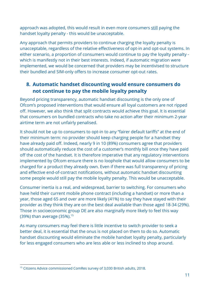approach was adopted, this would result in even more consumers still paying the handset loyalty penalty - this would be unacceptable.

Any approach that permits providers to continue charging the loyalty penalty is unacceptable, regardless of the relative effectiveness of opt-in and opt-out systems. In either scenario, a proportion of consumers would continue to pay the loyalty penalty which is manifestly not in their best interests. Indeed, if automatic migration were implemented, we would be concerned that providers may be incentivised to structure their bundled and SIM-only offers to increase consumer opt-out rates.

#### <span id="page-10-0"></span>**8. Automatic handset discounting would ensure consumers do not continue to pay the mobile loyalty penalty**

Beyond pricing transparency, automatic handset discounting is the only one of Ofcom's proposed interventions that would ensure all loyal customers are not ripped off. However, we also think that split contracts would achieve this goal. It is essential that consumers on bundled contracts who take no action after their minimum 2-year airtime term are not unfairly penalised.

It should not be up to consumers to opt-in to any "fairer default tariffs" at the end of their minimum term: no provider should keep charging people for a handset they have already paid off. Indeed, nearly 9 in 10 (89%) consumers agree that providers should automatically reduce the cost of a customer's monthly bill once they have paid off the cost of the handset. It is therefore imperative that any regulatory interventions implemented by Ofcom ensure there is no loophole that would allow consumers to be charged for a product they already own. Even if there was full transparency of pricing and effective end-of-contract notifications, without automatic handset discounting some people would still pay the mobile loyalty penalty. This would be unacceptable.

Consumer inertia is a real, and widespread, barrier to switching. For consumers who have held their current mobile phone contract (including a handset) or more than a year, those aged 65 and over are more likely (41%) to say they have stayed with their provider as they think they are on the best deal available than those aged 18-34 (29%). Those in socioeconomic group DE are also marginally more likely to feel this way (39%) than average (35%).<sup>15</sup>

As many consumers may feel there is little incentive to switch provider to seek a better deal, it is essential that the onus is not placed on them to do so. Automatic handset discounting would eliminate the mobile handset loyalty penalty, particularly for less engaged consumers who are less able or less inclined to shop around.

<sup>&</sup>lt;sup>15</sup> Citizens Advice commissioned ComRes survey of 3,030 British adults, 2018.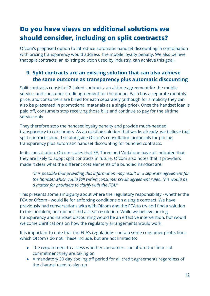# <span id="page-11-0"></span>**Do you have views on additional solutions we should consider, including on split contracts?**

Ofcom's proposed option to introduce automatic handset discounting in combination with pricing transparency would address the mobile loyalty penalty. We also believe that split contracts, an existing solution used by industry, can achieve this goal.

#### <span id="page-11-1"></span>**9. Split contracts are an existing solution that can also achieve the same outcome as transparency plus automatic discounting**

Split contracts consist of 2 linked contracts: an airtime agreement for the mobile service, and consumer credit agreement for the phone. Each has a separate monthly price, and consumers are billed for each separately (although for simplicity they can also be presented in promotional materials as a single price). Once the handset loan is paid off, consumers stop receiving those bills and continue to pay for the airtime service only.

They therefore stop the handset loyalty penalty and provide much-needed transparency to consumers. As an existing solution that works already, we believe that split contracts should sit alongside Ofcom's consultation proposals for pricing transparency plus automatic handset discounting for bundled contracts.

In its consultation, Ofcom states that EE, Three and Vodafone have all indicated that they are likely to adopt split contracts in future. Ofcom also notes that if providers made it clear what the different cost elements of a bundled handset are:

*"It is possible that providing this information may result in a separate agreement for the handset which could fall within consumer credit agreement rules. This would be a matter for providers to clarify with the FCA."*

This presents some ambiguity about where the regulatory responsibility - whether the FCA or Ofcom - would lie for enforcing conditions on a single contract. We have previously had conversations with with Ofcom and the FCA to try and find a solution to this problem, but did not find a clear resolution. While we believe pricing transparency and handset discounting would be an effective intervention, but would welcome clarifications on how the regulatory arrangements would work.

It is important to note that the FCA's regulations contain some consumer protections which Ofcom's do not. These include, but are not limited to:

- The requirement to assess whether consumers can afford the financial commitment they are taking on
- A mandatory 30 day cooling off period for all credit agreements regardless of the channel used to sign up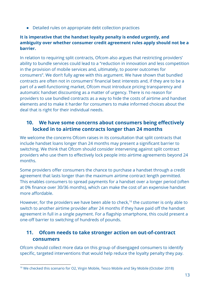● Detailed rules on appropriate debt collection practices

#### **It is imperative that the handset loyalty penalty is ended urgently, and ambiguity over whether consumer credit agreement rules apply should not be a barrier.**

In relation to requiring split contracts, Ofcom also argues that restricting providers' ability to bundle services could lead to a "reduction in innovation and less competition in the provision of mobile services and, ultimately, to poorer outcomes for consumers". We don't fully agree with this argument. We have shown that bundled contracts are often not in consumers' financial best interests and, if they are to be a part of a well-functioning market, Ofcom must introduce pricing transparency and automatic handset discounting as a matter of urgency. There is no reason for providers to use bundled contracts as a way to hide the costs of airtime and handset elements and to make it harder for consumers to make informed choices about the deal that is right for their individual needs.

#### <span id="page-12-0"></span>**10. We have some concerns about consumers being effectively locked in to airtime contracts longer than 24 months**

We welcome the concerns Ofcom raises in its consultation that split contracts that include handset loans longer than 24 months may present a significant barrier to switching. We think that Ofcom should consider intervening against split contract providers who use them to effectively lock people into airtime agreements beyond 24 months.

Some providers offer consumers the chance to purchase a handset through a credit agreement that lasts longer than the maximum airtime contract length permitted. This enables consumers to spread payments for a handset over a longer period (often at 0% finance over 30/36 months), which can make the cost of an expensive handset more affordable.

However, for the providers we have been able to check,<sup>16</sup> the customer is only able to switch to another airtime provider after 24 months if they have paid off the handset agreement in full in a single payment. For a flagship smartphone, this could present a one-off barrier to switching of hundreds of pounds.

#### <span id="page-12-1"></span>**11. Ofcom needs to take stronger action on out-of-contract consumers**

Ofcom should collect more data on this group of disengaged consumers to identify specific, targeted interventions that would help reduce the loyalty penalty they pay.

<sup>&</sup>lt;sup>16</sup> We checked this scenario for O2, Virgin Mobile, Tesco Mobile and Sky Mobile (October 2018)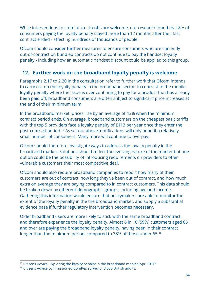While interventions to stop future rip-offs are welcome, our research found that 8% of consumers paying the loyalty penalty stayed more than 12 months after their last contract ended - affecting hundreds of thousands of people.

Ofcom should consider further measures to ensure consumers who are currently out-of-contract on bundled contracts do not continue to pay the handset loyalty penalty - including how an automatic handset discount could be applied to this group.

#### <span id="page-13-0"></span>**12. Further work on the broadband loyalty penalty is welcome**

Paragraphs 2.17 to 2.20 in the consultation refer to further work that Ofcom intends to carry out on the loyalty penalty in the broadband sector. In contrast to the mobile loyalty penalty where the issue is over continuing to pay for a product that has already been paid off, broadband consumers are often subject to significant price increases at the end of their minimum term.

In the broadband market, prices rise by an average of 43% when the minimum contract period ends. On average, broadband customers on the cheapest basic tariffs with the top 5 providers face a loyalty penalty of £113 per year once they enter the post-contract period.<sup>17</sup> As set out above, notifications will only benefit a relatively small number of consumers. Many more will continue to overpay.

Ofcom should therefore investigate ways to address the loyalty penalty in the broadband market. Solutions should reflect the evolving nature of the market but one option could be the possibility of introducing requirements on providers to offer vulnerable customers their most competitive deal.

Ofcom should also require broadband companies to report how many of their customers are out of contract, how long they've been out of contract, and how much extra on average they are paying compared to in contract customers. This data should be broken down by different demographic groups, including age and income. Gathering this information would ensure that policymakers are able to monitor the extent of the loyalty penalty in the the broadband market, and supply a substantial evidence base if further regulatory intervention becomes necessary.

Older broadband users are more likely to stick with the same broadband contract, and therefore experience the loyalty penalty. Almost 6 in 10 (59%) customers aged 65 and over are paying the broadband loyalty penalty, having been in their contract longer than the minimum period, compared to 38% of those under 65.<sup>18</sup>

<sup>&</sup>lt;sup>17</sup> Citizens Advice, Exploring the loyalty penalty in the broadband market, April 2017

<sup>&</sup>lt;sup>18</sup> Citizens Advice commissioned ComRes survey of 3,030 British adults.